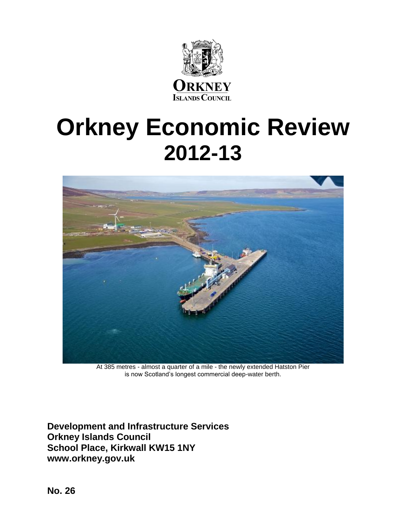

# **Orkney Economic Review 2012-13**



At 385 metres - almost a quarter of a mile - the newly extended Hatston Pier is now Scotland's longest commercial deep-water berth.

**Development and Infrastructure Services Orkney Islands Council School Place, Kirkwall KW15 1NY www.orkney.gov.uk**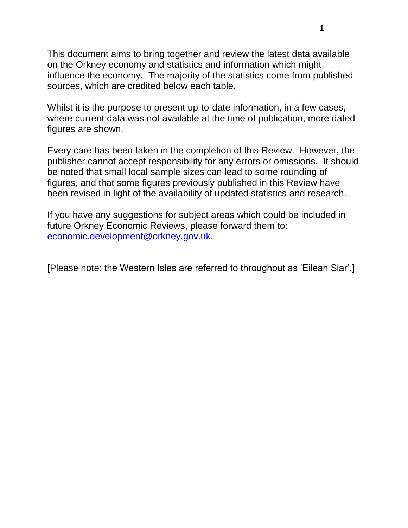This document aims to bring together and review the latest data available on the Orkney economy and statistics and information which might influence the economy. The majority of the statistics come from published sources, which are credited below each table.

Whilst it is the purpose to present up-to-date information, in a few cases, where current data was not available at the time of publication, more dated figures are shown.

Every care has been taken in the completion of this Review. However, the publisher cannot accept responsibility for any errors or omissions. It should be noted that small local sample sizes can lead to some rounding of figures, and that some figures previously published in this Review have been revised in light of the availability of updated statistics and research.

If you have any suggestions for subject areas which could be included in future Orkney Economic Reviews, please forward them to: [economic.development@orkney.gov.uk.](mailto:economic.development@orkney.gov.uk)

[Please note: the Western Isles are referred to throughout as 'Eilean Siar'.]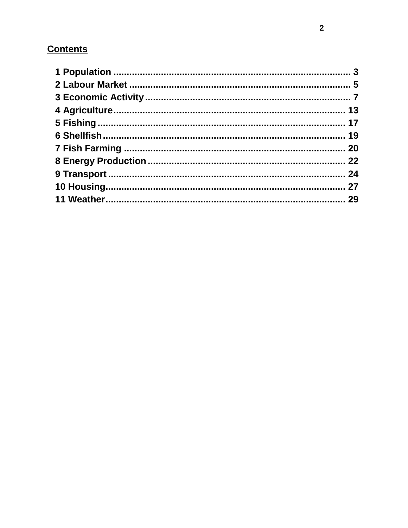# **Contents**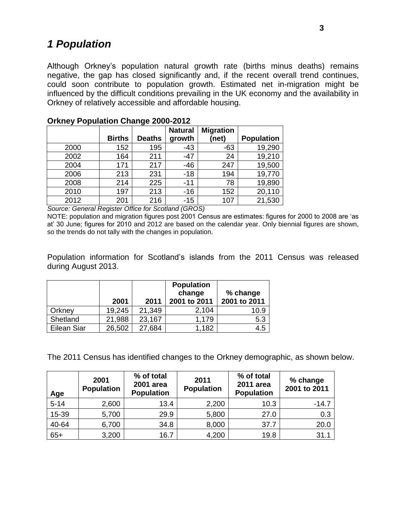# <span id="page-3-0"></span>*1 Population*

Although Orkney's population natural growth rate (births minus deaths) remains negative, the gap has closed significantly and, if the recent overall trend continues, could soon contribute to population growth. Estimated net in-migration might be influenced by the difficult conditions prevailing in the UK economy and the availability in Orkney of relatively accessible and affordable housing.

|      |               |               | <b>Natural</b> | <b>Migration</b> |                   |
|------|---------------|---------------|----------------|------------------|-------------------|
|      | <b>Births</b> | <b>Deaths</b> | growth         | (net)            | <b>Population</b> |
| 2000 | 152           | 195           | $-43$          | $-63$            | 19,290            |
| 2002 | 164           | 211           | $-47$          | 24               | 19,210            |
| 2004 | 171           | 217           | $-46$          | 247              | 19,500            |
| 2006 | 213           | 231           | $-18$          | 194              | 19,770            |
| 2008 | 214           | 225           | $-11$          | 78               | 19,890            |
| 2010 | 197           | 213           | $-16$          | 152              | 20,110            |
| 2012 | 201           | 216           | $-15$          | 107              | 21,530            |

|  |  | <b>Orkney Population Change 2000-2012</b> |
|--|--|-------------------------------------------|
|  |  |                                           |

*Source: General Register Office for Scotland (GROS)*

NOTE: population and migration figures post 2001 Census are estimates: figures for 2000 to 2008 are 'as at' 30 June; figures for 2010 and 2012 are based on the calendar year. Only biennial figures are shown, so the trends do not tally with the changes in population.

Population information for Scotland's islands from the 2011 Census was released during August 2013.

|             | 2001   | 2011   | <b>Population</b><br>change<br>2001 to 2011 | % change<br>2001 to 2011 |
|-------------|--------|--------|---------------------------------------------|--------------------------|
| Orkney      | 19,245 | 21,349 | 2,104                                       | 10.9                     |
| Shetland    | 21,988 | 23,167 | 1,179                                       | 5.3                      |
| Eilean Siar | 26,502 | 27,684 | 1,182                                       | 4.5                      |

The 2011 Census has identified changes to the Orkney demographic, as shown below.

| Age      | 2001<br><b>Population</b> | % of total<br>2001 area<br><b>Population</b> | 2011<br><b>Population</b> | % of total<br>2011 area<br><b>Population</b> | % change<br>2001 to 2011 |
|----------|---------------------------|----------------------------------------------|---------------------------|----------------------------------------------|--------------------------|
| $5 - 14$ | 2,600                     | 13.4                                         | 2,200                     | 10.3                                         | $-14.7$                  |
| 15-39    | 5,700                     | 29.9                                         | 5,800                     | 27.0                                         | 0.3                      |
| 40-64    | 6,700                     | 34.8                                         | 8,000                     | 37.7                                         | 20.0                     |
| $65+$    | 3,200                     | 16.7                                         | 4,200                     | 19.8                                         | 31.1                     |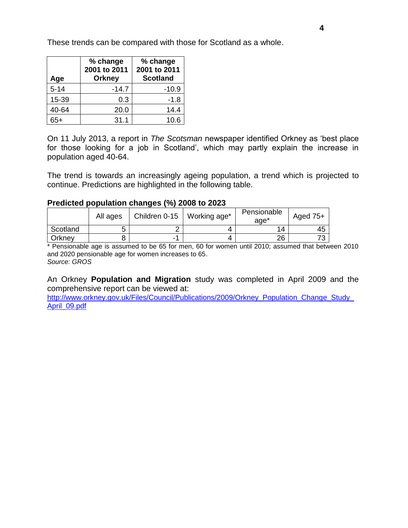These trends can be compared with those for Scotland as a whole.

| Age      | % change<br>2001 to 2011<br><b>Orkney</b> | % change<br>2001 to 2011<br><b>Scotland</b> |
|----------|-------------------------------------------|---------------------------------------------|
| $5 - 14$ | $-14.7$                                   | $-10.9$                                     |
| 15-39    | 0.3                                       | $-1.8$                                      |
| 40-64    | 20.0                                      | 14.4                                        |
| 65+      | 31.1                                      | 10.6                                        |

On 11 July 2013, a report in *The Scotsman* newspaper identified Orkney as 'best place for those looking for a job in Scotland', which may partly explain the increase in population aged 40-64.

The trend is towards an increasingly ageing population, a trend which is projected to continue. Predictions are highlighted in the following table.

### **Predicted population changes (%) 2008 to 2023**

|          | All ages | Children $0-15$ | Working age* | Pensionable<br>age* | Aged $75+$ |
|----------|----------|-----------------|--------------|---------------------|------------|
| Scotland | ັ        |                 |              | 14                  | 45         |
| Orknev   |          |                 |              | 26                  |            |

\* Pensionable age is assumed to be 65 for men, 60 for women until 2010; assumed that between 2010 and 2020 pensionable age for women increases to 65. *Source: GROS*

An Orkney **Population and Migration** study was completed in April 2009 and the comprehensive report can be viewed at:

http://www.orkney.gov.uk/Files/Council/Publications/2009/Orkney\_Population\_Change\_Study [April\\_09.pdf](http://www.orkney.gov.uk/Files/Council/Publications/2009/Orkney_Population_Change_Study_April_09.pdf)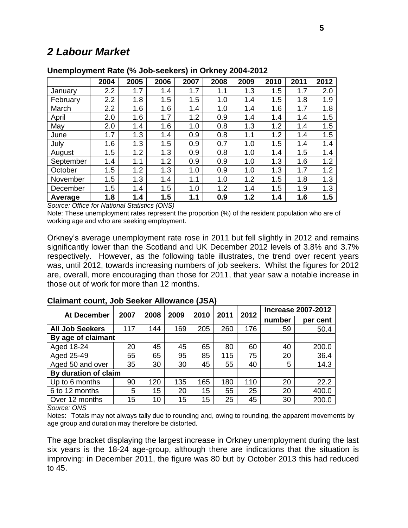# <span id="page-5-0"></span>*2 Labour Market*

|           | 2004 | 2005 | 2006 | 2007 | 2008 | 2009 | 2010 | 2011 | 2012 |
|-----------|------|------|------|------|------|------|------|------|------|
| January   | 2.2  | 1.7  | 1.4  | 1.7  | 1.1  | 1.3  | 1.5  | 1.7  | 2.0  |
| February  | 2.2  | 1.8  | 1.5  | 1.5  | 1.0  | 1.4  | 1.5  | 1.8  | 1.9  |
| March     | 2.2  | 1.6  | 1.6  | 1.4  | 1.0  | 1.4  | 1.6  | 1.7  | 1.8  |
| April     | 2.0  | 1.6  | 1.7  | 1.2  | 0.9  | 1.4  | 1.4  | 1.4  | 1.5  |
| May       | 2.0  | 1.4  | 1.6  | 1.0  | 0.8  | 1.3  | 1.2  | 1.4  | 1.5  |
| June      | 1.7  | 1.3  | 1.4  | 0.9  | 0.8  | 1.1  | 1.2  | 1.4  | 1.5  |
| July      | 1.6  | 1.3  | 1.5  | 0.9  | 0.7  | 1.0  | 1.5  | 1.4  | 1.4  |
| August    | 1.5  | 1.2  | 1.3  | 0.9  | 0.8  | 1.0  | 1.4  | 1.5  | 1.4  |
| September | 1.4  | 1.1  | 1.2  | 0.9  | 0.9  | 1.0  | 1.3  | 1.6  | 1.2  |
| October   | 1.5  | 1.2  | 1.3  | 1.0  | 0.9  | 1.0  | 1.3  | 1.7  | 1.2  |
| November  | 1.5  | 1.3  | 1.4  | 1.1  | 1.0  | 1.2  | 1.5  | 1.8  | 1.3  |
| December  | 1.5  | 1.4  | 1.5  | 1.0  | 1.2  | 1.4  | 1.5  | 1.9  | 1.3  |
| Average   | 1.8  | 1.4  | 1.5  | 1.1  | 0.9  | 1.2  | 1.4  | 1.6  | 1.5  |

#### **Unemployment Rate (% Job-seekers) in Orkney 2004-2012**

*Source: Office for National Statistics (ONS)*

Note: These unemployment rates represent the proportion (%) of the resident population who are of working age and who are seeking employment.

Orkney's average unemployment rate rose in 2011 but fell slightly in 2012 and remains significantly lower than the Scotland and UK December 2012 levels of 3.8% and 3.7% respectively. However, as the following table illustrates, the trend over recent years was, until 2012, towards increasing numbers of job seekers. Whilst the figures for 2012 are, overall, more encouraging than those for 2011, that year saw a notable increase in those out of work for more than 12 months.

| At December            | 2007 | 2008 | 2009 | 2010 | 2011 | 2012 |        | <b>Increase 2007-2012</b> |
|------------------------|------|------|------|------|------|------|--------|---------------------------|
|                        |      |      |      |      |      |      | number | per cent                  |
| <b>All Job Seekers</b> | 117  | 144  | 169  | 205  | 260  | 176  | 59     | 50.4                      |
| By age of claimant     |      |      |      |      |      |      |        |                           |
| Aged 18-24             | 20   | 45   | 45   | 65   | 80   | 60   | 40     | 200.0                     |
| Aged 25-49             | 55   | 65   | 95   | 85   | 115  | 75   | 20     | 36.4                      |
| Aged 50 and over       | 35   | 30   | 30   | 45   | 55   | 40   | 5      | 14.3                      |
| By duration of claim   |      |      |      |      |      |      |        |                           |
| Up to 6 months         | 90   | 120  | 135  | 165  | 180  | 110  | 20     | 22.2                      |
| 6 to 12 months         | 5    | 15   | 20   | 15   | 55   | 25   | 20     | 400.0                     |
| Over 12 months         | 15   | 10   | 15   | 15   | 25   | 45   | 30     | 200.0                     |

### **Claimant count, Job Seeker Allowance (JSA)**

*Source: ONS*

Notes: Totals may not always tally due to rounding and, owing to rounding, the apparent movements by age group and duration may therefore be distorted.

The age bracket displaying the largest increase in Orkney unemployment during the last six years is the 18-24 age-group, although there are indications that the situation is improving: in December 2011, the figure was 80 but by October 2013 this had reduced to 45.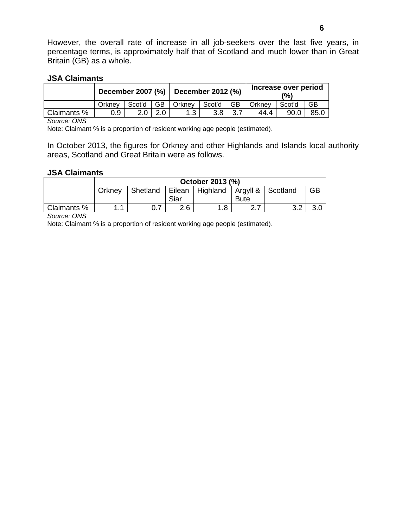However, the overall rate of increase in all job-seekers over the last five years, in percentage terms, is approximately half that of Scotland and much lower than in Great Britain (GB) as a whole.

#### **JSA Claimants**

|             | December 2007 (%) December 2012 (%) |        |     |        |        |           | Increase over period<br>(%) |        |           |
|-------------|-------------------------------------|--------|-----|--------|--------|-----------|-----------------------------|--------|-----------|
|             | Orknev                              | Scot'd | GB. | Orkney | Scot'd | <b>GB</b> | Orkney                      | Scot'd | <b>GB</b> |
| Claimants % | 0.9                                 | 2.0    | 2.0 | 1.3    | 3.8    | 3.7       | 44.4                        | 90.0   | 85.0      |

*Source: ONS*

Note: Claimant % is a proportion of resident working age people (estimated).

In October 2013, the figures for Orkney and other Highlands and Islands local authority areas, Scotland and Great Britain were as follows.

#### **JSA Claimants**

|             | October 2013 (%)                                                                           |  |     |    |                                  |          |     |  |  |  |
|-------------|--------------------------------------------------------------------------------------------|--|-----|----|----------------------------------|----------|-----|--|--|--|
|             | GB<br>Eilean   Highland   Argyll &   Scotland<br>Shetland<br>Orknev<br>Siar<br><b>Bute</b> |  |     |    |                                  |          |     |  |  |  |
| Claimants % | и                                                                                          |  | 2.6 | .8 | $\sim$ $\sim$<br>$- \cdot \cdot$ | $\Omega$ | v.u |  |  |  |

*Source: ONS*

Note: Claimant % is a proportion of resident working age people (estimated).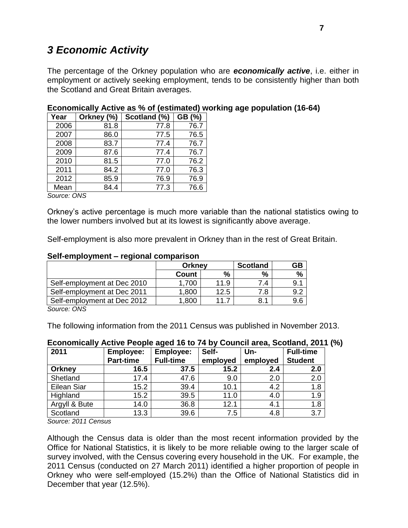# <span id="page-7-0"></span>*3 Economic Activity*

The percentage of the Orkney population who are *economically active*, i.e. either in employment or actively seeking employment, tends to be consistently higher than both the Scotland and Great Britain averages.

| Year | Orkney (%) | Scotland (%) | GB (%) |
|------|------------|--------------|--------|
| 2006 | 81.8       | 77.8         | 76.7   |
| 2007 | 86.0       | 77.5         | 76.5   |
| 2008 | 83.7       | 77.4         | 76.7   |
| 2009 | 87.6       | 77.4         | 76.7   |
| 2010 | 81.5       | 77.0         | 76.2   |
| 2011 | 84.2       | 77.0         | 76.3   |
| 2012 | 85.9       | 76.9         | 76.9   |
| Mean | 84.4       | 77.3         | 76.6   |

### **Economically Active as % of (estimated) working age population (16-64)**

*Source: ONS*

Orkney's active percentage is much more variable than the national statistics owing to the lower numbers involved but at its lowest is significantly above average.

Self-employment is also more prevalent in Orkney than in the rest of Great Britain.

#### **Self-employment – regional comparison**

|                             | <b>Orkney</b> |                 | <b>Scotland</b> | GΒ   |
|-----------------------------|---------------|-----------------|-----------------|------|
|                             | Count         | $\%$            | %               | $\%$ |
| Self-employment at Dec 2010 | 1.700         | 11.9            | 7.4             |      |
| Self-employment at Dec 2011 | 1,800         | 12.5            | 7.8             |      |
| Self-employment at Dec 2012 | 1,800         | 11 <sub>1</sub> | 8.1             | 9.6  |
| $S_{OII}$                   |               |                 |                 |      |

*Source: ONS*

The following information from the 2011 Census was published in November 2013.

| 2011          | <b>Employee:</b> | <b>Employee:</b> | Self-    | Un-      | <b>Full-time</b> |
|---------------|------------------|------------------|----------|----------|------------------|
|               | Part-time        | <b>Full-time</b> | employed | employed | <b>Student</b>   |
| <b>Orkney</b> | 16.5             | 37.5             | 15.2     | 2.4      | 2.0              |
| Shetland      | 17.4             | 47.6             | 9.0      | 2.0      | 2.0              |
| Eilean Siar   | 15.2             | 39.4             | 10.1     | 4.2      | 1.8              |
| Highland      | 15.2             | 39.5             | 11.0     | 4.0      | 1.9              |
| Argyll & Bute | 14.0             | 36.8             | 12.1     | 4.1      | 1.8              |
| Scotland      | 13.3             | 39.6             | 7.5      | 4.8      | 3.7              |

# **Economically Active People aged 16 to 74 by Council area, Scotland, 2011 (%)**

*Source: 2011 Census*

Although the Census data is older than the most recent information provided by the Office for National Statistics, it is likely to be more reliable owing to the larger scale of survey involved, with the Census covering every household in the UK. For example, the 2011 Census (conducted on 27 March 2011) identified a higher proportion of people in Orkney who were self-employed (15.2%) than the Office of National Statistics did in December that year (12.5%).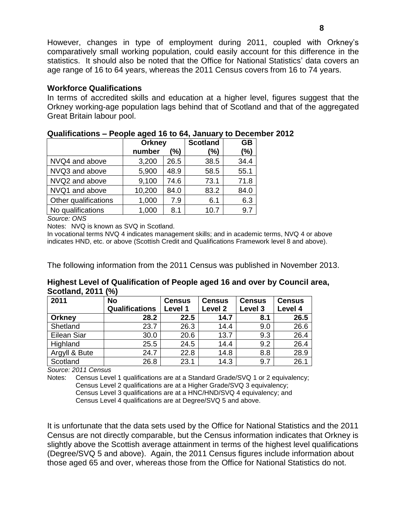However, changes in type of employment during 2011, coupled with Orkney's comparatively small working population, could easily account for this difference in the statistics. It should also be noted that the Office for National Statistics' data covers an age range of 16 to 64 years, whereas the 2011 Census covers from 16 to 74 years.

### **Workforce Qualifications**

In terms of accredited skills and education at a higher level, figures suggest that the Orkney working-age population lags behind that of Scotland and that of the aggregated Great Britain labour pool.

|                      | <b>Orkney</b> |      | <b>Scotland</b> | <b>GB</b> |
|----------------------|---------------|------|-----------------|-----------|
|                      | number        | (%)  | (%)             | (%)       |
| NVQ4 and above       | 3,200         | 26.5 | 38.5            | 34.4      |
| NVQ3 and above       | 5,900         | 48.9 | 58.5            | 55.1      |
| NVQ2 and above       | 9,100         | 74.6 | 73.1            | 71.8      |
| NVQ1 and above       | 10,200        | 84.0 | 83.2            | 84.0      |
| Other qualifications | 1,000         | 7.9  | 6.1             | 6.3       |
| No qualifications    | 1,000         | 8.1  | 10.7            | 9.7       |

### **Qualifications – People aged 16 to 64, January to December 2012**

*Source: ONS*

Notes: NVQ is known as SVQ in Scotland.

In vocational terms NVQ 4 indicates management skills; and in academic terms, NVQ 4 or above indicates HND, etc. or above (Scottish Credit and Qualifications Framework level 8 and above).

The following information from the 2011 Census was published in November 2013.

**Highest Level of Qualification of People aged 16 and over by Council area, Scotland, 2011 (%)**

| 2011          | <b>No</b>             | <b>Census</b> | <b>Census</b> | <b>Census</b> | <b>Census</b> |  |
|---------------|-----------------------|---------------|---------------|---------------|---------------|--|
|               | <b>Qualifications</b> | Level 1       | Level 2       | Level 3       | Level 4       |  |
| <b>Orkney</b> | 28.2                  | 22.5          | 14.7          | 8.1           | 26.5          |  |
| Shetland      | 23.7                  | 26.3          | 14.4          | 9.0           | 26.6          |  |
| Eilean Siar   | 30.0                  | 20.6          | 13.7          | 9.3           | 26.4          |  |
| Highland      | 25.5                  | 24.5          | 14.4          | 9.2           | 26.4          |  |
| Argyll & Bute | 24.7                  | 22.8          | 14.8          | 8.8           | 28.9          |  |
| Scotland      | 26.8                  | 23.1          | 14.3          | 9.7           | 26.1          |  |

*Source: 2011 Census*

Notes: Census Level 1 qualifications are at a Standard Grade/SVQ 1 or 2 equivalency; Census Level 2 qualifications are at a Higher Grade/SVQ 3 equivalency; Census Level 3 qualifications are at a HNC/HND/SVQ 4 equivalency; and Census Level 4 qualifications are at Degree/SVQ 5 and above.

It is unfortunate that the data sets used by the Office for National Statistics and the 2011 Census are not directly comparable, but the Census information indicates that Orkney is slightly above the Scottish average attainment in terms of the highest level qualifications (Degree/SVQ 5 and above). Again, the 2011 Census figures include information about those aged 65 and over, whereas those from the Office for National Statistics do not.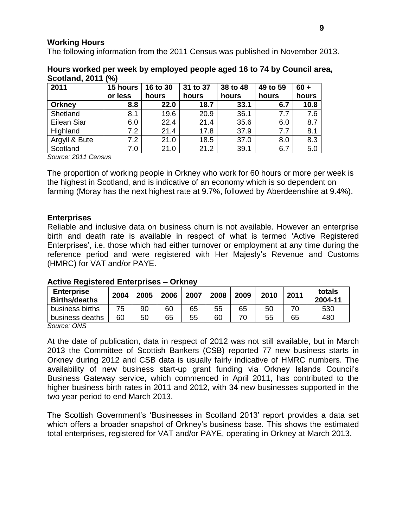### **Working Hours**

The following information from the 2011 Census was published in November 2013.

| <b>UUUUUUU</b> , LUTT | 7 V J    |          |          |          |          |        |
|-----------------------|----------|----------|----------|----------|----------|--------|
| 2011                  | 15 hours | 16 to 30 | 31 to 37 | 38 to 48 | 49 to 59 | $60 +$ |
|                       | or less  | hours    | hours    | hours    | hours    | hours  |
| <b>Orkney</b>         | 8.8      | 22.0     | 18.7     | 33.1     | 6.7      | 10.8   |
| Shetland              | 8.1      | 19.6     | 20.9     | 36.1     | 7.7      | 7.6    |
| Eilean Siar           | 6.0      | 22.4     | 21.4     | 35.6     | 6.0      | 8.7    |
| Highland              | 7.2      | 21.4     | 17.8     | 37.9     | 7.7      | 8.1    |
| Argyll & Bute         | 7.2      | 21.0     | 18.5     | 37.0     | 8.0      | 8.3    |
| Scotland              | 7.0      | 21.0     | 21.2     | 39.1     | 6.7      | 5.0    |

### **Hours worked per week by employed people aged 16 to 74 by Council area, Scotland, 2011 (%)**

*Source: 2011 Census*

The proportion of working people in Orkney who work for 60 hours or more per week is the highest in Scotland, and is indicative of an economy which is so dependent on farming (Moray has the next highest rate at 9.7%, followed by Aberdeenshire at 9.4%).

### **Enterprises**

Reliable and inclusive data on business churn is not available. However an enterprise birth and death rate is available in respect of what is termed 'Active Registered Enterprises', i.e. those which had either turnover or employment at any time during the reference period and were registered with Her Majesty's Revenue and Customs (HMRC) for VAT and/or PAYE.

### **Active Registered Enterprises – Orkney**

| <b>Enterprise</b><br><b>Births/deaths</b> | 2004 | 2005 | 2006 | 2007 | 2008 | 2009 | 2010 | 2011 | totals<br>2004-11 |
|-------------------------------------------|------|------|------|------|------|------|------|------|-------------------|
| business births                           | 75   | 90   | 60   | 65   | 55   | 65   | 50   |      | 530               |
| business deaths                           | 60   | 50   | 65   | 55   | 60   |      | 55   | 65   | 480               |

*Source: ONS*

At the date of publication, data in respect of 2012 was not still available, but in March 2013 the Committee of Scottish Bankers (CSB) reported 77 new business starts in Orkney during 2012 and CSB data is usually fairly indicative of HMRC numbers. The availability of new business start-up grant funding via Orkney Islands Council's Business Gateway service, which commenced in April 2011, has contributed to the higher business birth rates in 2011 and 2012, with 34 new businesses supported in the two year period to end March 2013.

The Scottish Government's 'Businesses in Scotland 2013' report provides a data set which offers a broader snapshot of Orkney's business base. This shows the estimated total enterprises, registered for VAT and/or PAYE, operating in Orkney at March 2013.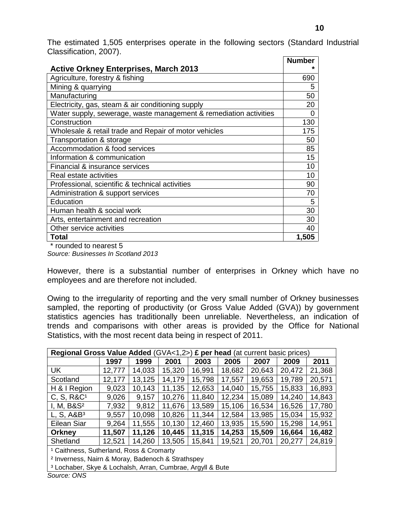The estimated 1,505 enterprises operate in the following sectors (Standard Industrial Classification, 2007). **Number** 

| <b>Active Orkney Enterprises, March 2013</b>                      | Number   |
|-------------------------------------------------------------------|----------|
|                                                                   |          |
| Agriculture, forestry & fishing                                   | 690      |
| Mining & quarrying                                                | 5        |
| Manufacturing                                                     | 50       |
| Electricity, gas, steam & air conditioning supply                 | 20       |
| Water supply, sewerage, waste management & remediation activities | $\Omega$ |
| Construction                                                      | 130      |
| Wholesale & retail trade and Repair of motor vehicles             | 175      |
| Transportation & storage                                          | 50       |
| Accommodation & food services                                     | 85       |
| Information & communication                                       | 15       |
| Financial & insurance services                                    | 10       |
| Real estate activities                                            | 10       |
| Professional, scientific & technical activities                   | 90       |
| Administration & support services                                 | 70       |
| Education                                                         | 5        |
| Human health & social work                                        | 30       |
| Arts, entertainment and recreation                                | 30       |
| Other service activities                                          | 40       |
| Total                                                             | 1,505    |

\* rounded to nearest 5

*Source: Businesses In Scotland 2013*

However, there is a substantial number of enterprises in Orkney which have no employees and are therefore not included.

Owing to the irregularity of reporting and the very small number of Orkney businesses sampled, the reporting of productivity (or Gross Value Added (GVA)) by government statistics agencies has traditionally been unreliable. Nevertheless, an indication of trends and comparisons with other areas is provided by the Office for National Statistics, with the most recent data being in respect of 2011.

| Regional Gross Value Added (GVA<1,2>)                                 |                                                     |        |        |        | £ per head (at current basic prices) |        |        |        |  |  |
|-----------------------------------------------------------------------|-----------------------------------------------------|--------|--------|--------|--------------------------------------|--------|--------|--------|--|--|
|                                                                       | 1997                                                | 1999   | 2001   | 2003   | 2005                                 | 2007   | 2009   | 2011   |  |  |
| <b>UK</b>                                                             | 12,777                                              | 14,033 | 15,320 | 16,991 | 18,682                               | 20,643 | 20,472 | 21,368 |  |  |
| Scotland                                                              | 12,177                                              | 13,125 | 14,179 | 15,798 | 17,557                               | 19,653 | 19,789 | 20,571 |  |  |
| H & I Region                                                          | 9,023                                               | 10,143 | 11,135 | 12,653 | 14,040                               | 15,755 | 15,833 | 16,893 |  |  |
| C, S, R&C <sup>1</sup>                                                | 9,026                                               | 9,157  | 10,276 | 11,840 | 12,234                               | 15,089 | 14,240 | 14,843 |  |  |
| I, M, B&S <sup>2</sup>                                                | 7,932                                               | 9,812  | 11,676 | 13,589 | 15,106                               | 16,534 | 16,526 | 17,780 |  |  |
| L, S, A&B <sup>3</sup>                                                | 9,557                                               | 10,098 | 10,826 | 11,344 | 12,584                               | 13,985 | 15,034 | 15,932 |  |  |
| Eilean Siar                                                           | 9,264                                               | 11,555 | 10,130 | 12,460 | 13,935                               | 15,590 | 15,298 | 14,951 |  |  |
| <b>Orkney</b>                                                         | 11,507                                              | 11,126 | 10,445 | 11,315 | 14,253                               | 15,509 | 16,664 | 16,482 |  |  |
| Shetland                                                              | 12,521                                              | 14,260 | 13,505 | 15,841 | 19,521                               | 20,701 | 20,277 | 24,819 |  |  |
|                                                                       | <sup>1</sup> Caithness, Sutherland, Ross & Cromarty |        |        |        |                                      |        |        |        |  |  |
| <sup>2</sup> Inverness, Nairn & Moray, Badenoch & Strathspey          |                                                     |        |        |        |                                      |        |        |        |  |  |
| <sup>3</sup> Lochaber, Skye & Lochalsh, Arran, Cumbrae, Argyll & Bute |                                                     |        |        |        |                                      |        |        |        |  |  |

*Source: ONS*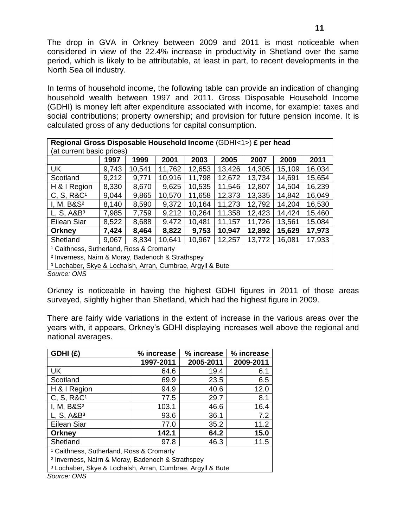The drop in GVA in Orkney between 2009 and 2011 is most noticeable when considered in view of the 22.4% increase in productivity in Shetland over the same period, which is likely to be attributable, at least in part, to recent developments in the North Sea oil industry.

In terms of household income, the following table can provide an indication of changing household wealth between 1997 and 2011. Gross Disposable Household Income (GDHI) is money left after expenditure associated with income, for example: taxes and social contributions; property ownership; and provision for future pension income. It is calculated gross of any deductions for capital consumption.

| Regional Gross Disposable Household Income (GDHI<1>) £ per head       |                           |        |        |        |        |        |        |        |  |  |  |
|-----------------------------------------------------------------------|---------------------------|--------|--------|--------|--------|--------|--------|--------|--|--|--|
|                                                                       | (at current basic prices) |        |        |        |        |        |        |        |  |  |  |
|                                                                       | 1997                      | 1999   | 2001   | 2003   | 2005   | 2007   | 2009   | 2011   |  |  |  |
| UK                                                                    | 9,743                     | 10,541 | 11,762 | 12,653 | 13,426 | 14,305 | 15,109 | 16,034 |  |  |  |
| Scotland                                                              | 9,212                     | 9,771  | 10,916 | 11,798 | 12,672 | 13,734 | 14,691 | 15,654 |  |  |  |
| H & I Region                                                          | 8,330                     | 8,670  | 9,625  | 10,535 | 11,546 | 12,807 | 14,504 | 16,239 |  |  |  |
| C, S, R&C <sup>1</sup>                                                | 9,044                     | 9,865  | 10,570 | 11,658 | 12,373 | 13,335 | 14,842 | 16,049 |  |  |  |
| I, M, B&S <sup>2</sup>                                                | 8,140                     | 8,590  | 9,372  | 10,164 | 11,273 | 12,792 | 14,204 | 16,530 |  |  |  |
| L, S, A&B <sup>3</sup>                                                | 7,985                     | 7,759  | 9,212  | 10,264 | 11,358 | 12,423 | 14,424 | 15,460 |  |  |  |
| Eilean Siar                                                           | 8,522                     | 8,688  | 9,472  | 10,481 | 11,157 | 11,726 | 13,561 | 15,084 |  |  |  |
| Orkney                                                                | 7,424                     | 8,464  | 8,822  | 9,753  | 10,947 | 12,892 | 15,629 | 17,973 |  |  |  |
| Shetland                                                              | 9,067                     | 8,834  | 10,641 | 10,967 | 12,257 | 13,772 | 16,081 | 17,933 |  |  |  |
| <sup>1</sup> Caithness, Sutherland, Ross & Cromarty                   |                           |        |        |        |        |        |        |        |  |  |  |
| <sup>2</sup> Inverness, Nairn & Moray, Badenoch & Strathspey          |                           |        |        |        |        |        |        |        |  |  |  |
| <sup>3</sup> Lochaber, Skye & Lochalsh, Arran, Cumbrae, Argyll & Bute |                           |        |        |        |        |        |        |        |  |  |  |

*Source: ONS*

Orkney is noticeable in having the highest GDHI figures in 2011 of those areas surveyed, slightly higher than Shetland, which had the highest figure in 2009.

There are fairly wide variations in the extent of increase in the various areas over the years with, it appears, Orkney's GDHI displaying increases well above the regional and national averages.

| GDHI(£)                                                               | % increase | % increase | % increase |  |  |  |  |
|-----------------------------------------------------------------------|------------|------------|------------|--|--|--|--|
|                                                                       | 1997-2011  | 2005-2011  | 2009-2011  |  |  |  |  |
| <b>UK</b>                                                             | 64.6       | 19.4       | 6.1        |  |  |  |  |
| Scotland                                                              | 69.9       | 23.5       | 6.5        |  |  |  |  |
| H & I Region                                                          | 94.9       | 40.6       | 12.0       |  |  |  |  |
| C, S, R&C <sup>1</sup>                                                | 77.5       | 29.7       | 8.1        |  |  |  |  |
| I, M, $B&S2$                                                          | 103.1      | 46.6       | 16.4       |  |  |  |  |
| L, S, A&B <sup>3</sup>                                                | 93.6       | 36.1       | 7.2        |  |  |  |  |
| Eilean Siar                                                           | 77.0       | 35.2       | 11.2       |  |  |  |  |
| Orkney                                                                | 142.1      | 64.2       | 15.0       |  |  |  |  |
| Shetland                                                              | 97.8       | 46.3       | 11.5       |  |  |  |  |
| <sup>1</sup> Caithness, Sutherland, Ross & Cromarty                   |            |            |            |  |  |  |  |
| <sup>2</sup> Inverness, Nairn & Moray, Badenoch & Strathspey          |            |            |            |  |  |  |  |
| <sup>3</sup> Lochaber, Skye & Lochalsh, Arran, Cumbrae, Argyll & Bute |            |            |            |  |  |  |  |

*Source: ONS*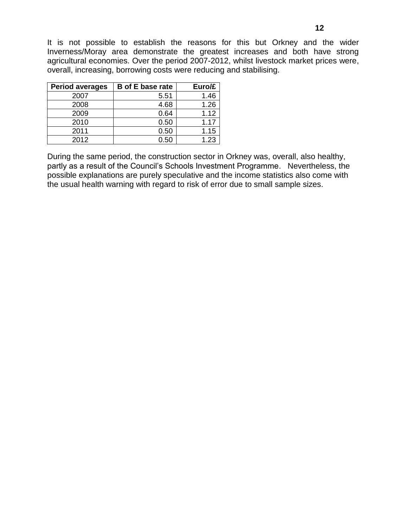It is not possible to establish the reasons for this but Orkney and the wider Inverness/Moray area demonstrate the greatest increases and both have strong agricultural economies. Over the period 2007-2012, whilst livestock market prices were, overall, increasing, borrowing costs were reducing and stabilising.

| <b>Period averages</b> | <b>B</b> of E base rate | Euro/£ |
|------------------------|-------------------------|--------|
| 2007                   | 5.51                    | 1.46   |
| 2008                   | 4.68                    | 1.26   |
| 2009                   | 0.64                    | 1.12   |
| 2010                   | 0.50                    | 1.17   |
| 2011                   | 0.50                    | 1.15   |
| 2012                   | 0.50                    | 1.23   |

During the same period, the construction sector in Orkney was, overall, also healthy, partly as a result of the Council's Schools Investment Programme. Nevertheless, the possible explanations are purely speculative and the income statistics also come with the usual health warning with regard to risk of error due to small sample sizes.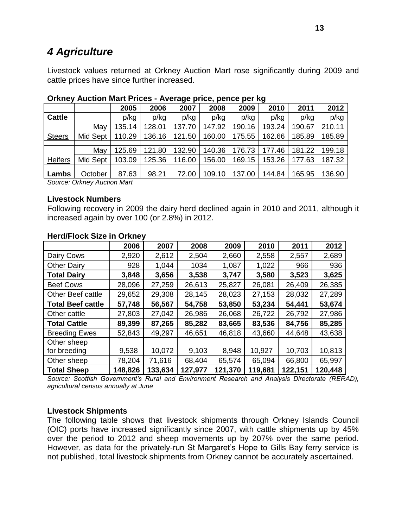# <span id="page-13-0"></span>*4 Agriculture*

Livestock values returned at Orkney Auction Mart rose significantly during 2009 and cattle prices have since further increased.

|                |                               |        |        | $\tilde{\phantom{a}}$ | . .    |        |        |        |        |
|----------------|-------------------------------|--------|--------|-----------------------|--------|--------|--------|--------|--------|
|                |                               | 2005   | 2006   | 2007                  | 2008   | 2009   | 2010   | 2011   | 2012   |
| <b>Cattle</b>  |                               | p/kg   | p/kg   | p/kg                  | p/kg   | p/kg   | p/kg   | p/kg   | p/kg   |
|                | May                           | 135.14 | 128.01 | 137.70                | 147.92 | 190.16 | 193.24 | 190.67 | 210.11 |
| <b>Steers</b>  | Mid Sept                      | 110.29 | 136.16 | 121.50                | 160.00 | 175.55 | 162.66 | 185.89 | 185.89 |
|                |                               |        |        |                       |        |        |        |        |        |
|                | May                           | 125.69 | 121.80 | 132.90                | 140.36 | 176.73 | 177.46 | 181.22 | 199.18 |
| <b>Heifers</b> | Mid Sept                      | 103.09 | 125.36 | 116.00                | 156.00 | 169.15 | 153.26 | 177.63 | 187.32 |
|                |                               |        |        |                       |        |        |        |        |        |
| Lambs          | October                       | 87.63  | 98.21  | 72.00                 | 109.10 | 137.00 | 144.84 | 165.95 | 136.90 |
|                | Course Online: Augustine Mart |        |        |                       |        |        |        |        |        |

#### **Orkney Auction Mart Prices - Average price, pence per kg**

*Source: Orkney Auction Mart*

#### **Livestock Numbers**

Following recovery in 2009 the dairy herd declined again in 2010 and 2011, although it increased again by over 100 (or 2.8%) in 2012.

|                          | 2006    | 2007    | 2008    | 2009    | 2010    | 2011    | 2012    |
|--------------------------|---------|---------|---------|---------|---------|---------|---------|
| Dairy Cows               | 2,920   | 2,612   | 2,504   | 2,660   | 2,558   | 2,557   | 2,689   |
| <b>Other Dairy</b>       | 928     | 1,044   | 1034    | 1,087   | 1,022   | 966     | 936     |
| <b>Total Dairy</b>       | 3,848   | 3,656   | 3,538   | 3,747   | 3,580   | 3,523   | 3,625   |
| <b>Beef Cows</b>         | 28,096  | 27,259  | 26,613  | 25,827  | 26,081  | 26,409  | 26,385  |
| <b>Other Beef cattle</b> | 29,652  | 29,308  | 28,145  | 28,023  | 27,153  | 28,032  | 27,289  |
| <b>Total Beef cattle</b> | 57,748  | 56,567  | 54,758  | 53,850  | 53,234  | 54,441  | 53,674  |
| Other cattle             | 27,803  | 27,042  | 26,986  | 26,068  | 26,722  | 26,792  | 27,986  |
| <b>Total Cattle</b>      | 89,399  | 87,265  | 85,282  | 83,665  | 83,536  | 84,756  | 85,285  |
| <b>Breeding Ewes</b>     | 52,843  | 49,297  | 46,651  | 46,818  | 43,660  | 44,648  | 43,638  |
| Other sheep              |         |         |         |         |         |         |         |
| for breeding             | 9,538   | 10,072  | 9,103   | 8,948   | 10,927  | 10,703  | 10,813  |
| Other sheep              | 78,204  | 71,616  | 68,404  | 65,574  | 65,094  | 66,800  | 65,997  |
| <b>Total Sheep</b>       | 148,826 | 133,634 | 127,977 | 121,370 | 119,681 | 122,151 | 120,448 |

### **Herd/Flock Size in Orkney**

*Source: Scottish Government's Rural and Environment Research and Analysis Directorate (RERAD), agricultural census annually at June*

#### **Livestock Shipments**

The following table shows that livestock shipments through Orkney Islands Council (OIC) ports have increased significantly since 2007, with cattle shipments up by 45% over the period to 2012 and sheep movements up by 207% over the same period. However, as data for the privately-run St Margaret's Hope to Gills Bay ferry service is not published, total livestock shipments from Orkney cannot be accurately ascertained.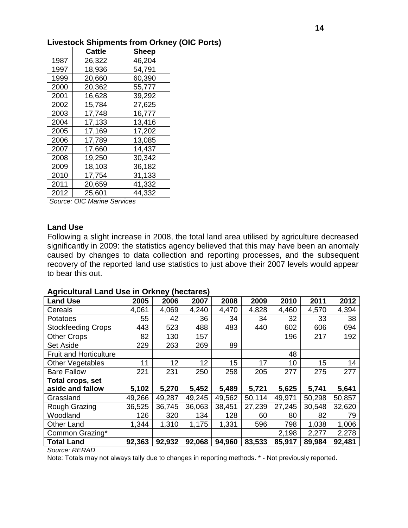|      | Cattle | <b>Sheep</b> |
|------|--------|--------------|
| 1987 | 26,322 | 46,204       |
| 1997 | 18,936 | 54,791       |
| 1999 | 20,660 | 60,390       |
| 2000 | 20,362 | 55,777       |
| 2001 | 16,628 | 39,292       |
| 2002 | 15,784 | 27,625       |
| 2003 | 17,748 | 16,777       |
| 2004 | 17,133 | 13,416       |
| 2005 | 17,169 | 17,202       |
| 2006 | 17,789 | 13,085       |
| 2007 | 17,660 | 14,437       |
| 2008 | 19,250 | 30,342       |
| 2009 | 18,103 | 36,182       |
| 2010 | 17,754 | 31,133       |
| 2011 | 20,659 | 41,332       |
| 2012 | 25,601 | 44,332       |

*Source: OIC Marine Services*

#### **Land Use**

Following a slight increase in 2008, the total land area utilised by agriculture decreased significantly in 2009: the statistics agency believed that this may have been an anomaly caused by changes to data collection and reporting processes, and the subsequent recovery of the reported land use statistics to just above their 2007 levels would appear to bear this out.

#### **Agricultural Land Use in Orkney (hectares)**

| <b>Land Use</b>               | 2005   | 2006   | 2007   | 2008   | 2009   | 2010   | 2011   | 2012   |
|-------------------------------|--------|--------|--------|--------|--------|--------|--------|--------|
| Cereals                       | 4,061  | 4,069  | 4,240  | 4,470  | 4,828  | 4,460  | 4,570  | 4,394  |
| Potatoes                      | 55     | 42     | 36     | 34     | 34     | 32     | 33     | 38     |
| <b>Stockfeeding Crops</b>     | 443    | 523    | 488    | 483    | 440    | 602    | 606    | 694    |
| <b>Other Crops</b>            | 82     | 130    | 157    |        |        | 196    | 217    | 192    |
| <b>Set Aside</b>              | 229    | 263    | 269    | 89     |        |        |        |        |
| <b>Fruit and Horticulture</b> |        |        |        |        |        | 48     |        |        |
| <b>Other Vegetables</b>       | 11     | 12     | 12     | 15     | 17     | 10     | 15     | 14     |
| <b>Bare Fallow</b>            | 221    | 231    | 250    | 258    | 205    | 277    | 275    | 277    |
| Total crops, set              |        |        |        |        |        |        |        |        |
| aside and fallow              | 5,102  | 5,270  | 5,452  | 5,489  | 5,721  | 5,625  | 5,741  | 5,641  |
| Grassland                     | 49,266 | 49,287 | 49,245 | 49,562 | 50,114 | 49,971 | 50,298 | 50,857 |
| Rough Grazing                 | 36,525 | 36,745 | 36,063 | 38,451 | 27,239 | 27,245 | 30,548 | 32,620 |
| Woodland                      | 126    | 320    | 134    | 128    | 60     | 80     | 82     | 79     |
| <b>Other Land</b>             | 1,344  | 1,310  | 1,175  | 1,331  | 596    | 798    | 1,038  | 1,006  |
| Common Grazing*               |        |        |        |        |        | 2,198  | 2,277  | 2,278  |
| <b>Total Land</b>             | 92,363 | 92,932 | 92,068 | 94,960 | 83,533 | 85,917 | 89,984 | 92,481 |

*Source: RERAD*

Note: Totals may not always tally due to changes in reporting methods. \* - Not previously reported.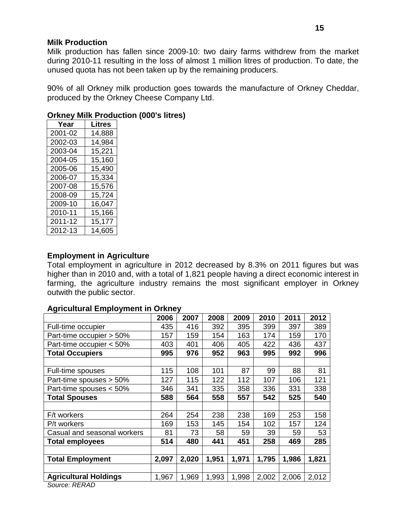#### **Milk Production**

Milk production has fallen since 2009-10: two dairy farms withdrew from the market during 2010-11 resulting in the loss of almost 1 million litres of production. To date, the unused quota has not been taken up by the remaining producers.

90% of all Orkney milk production goes towards the manufacture of Orkney Cheddar, produced by the Orkney Cheese Company Ltd.

| <b>Orkney Milk Production (000's litres)</b> |  |                       |  |  |
|----------------------------------------------|--|-----------------------|--|--|
| Voor                                         |  | $\overline{ }$ Litros |  |  |

| ı eal   | LIUUS  |  |
|---------|--------|--|
| 2001-02 | 14,888 |  |
| 2002-03 | 14,984 |  |
| 2003-04 | 15,221 |  |
| 2004-05 | 15,160 |  |
| 2005-06 | 15,490 |  |
| 2006-07 | 15,334 |  |
| 2007-08 | 15,576 |  |
| 2008-09 | 15,724 |  |
| 2009-10 | 16,047 |  |
| 2010-11 | 15,166 |  |
| 2011-12 | 15,177 |  |
| 2012-13 | 14,605 |  |

### **Employment in Agriculture**

Total employment in agriculture in 2012 decreased by 8.3% on 2011 figures but was higher than in 2010 and, with a total of 1,821 people having a direct economic interest in farming, the agriculture industry remains the most significant employer in Orkney outwith the public sector.

#### **Agricultural Employment in Orkney**

| 2006  | 2007  | 2008  | 2009  | 2010  | 2011  | 2012  |
|-------|-------|-------|-------|-------|-------|-------|
| 435   | 416   | 392   | 395   | 399   | 397   | 389   |
| 157   | 159   | 154   | 163   | 174   | 159   | 170   |
| 403   | 401   | 406   | 405   | 422   | 436   | 437   |
| 995   | 976   | 952   | 963   | 995   | 992   | 996   |
|       |       |       |       |       |       |       |
| 115   | 108   | 101   | 87    | 99    | 88    | 81    |
| 127   | 115   | 122   | 112   | 107   | 106   | 121   |
| 346   | 341   | 335   | 358   | 336   | 331   | 338   |
| 588   | 564   | 558   | 557   | 542   | 525   | 540   |
|       |       |       |       |       |       |       |
| 264   | 254   | 238   | 238   | 169   | 253   | 158   |
| 169   | 153   | 145   | 154   | 102   | 157   | 124   |
| 81    | 73    | 58    | 59    | 39    | 59    | 53    |
| 514   | 480   | 441   | 451   | 258   | 469   | 285   |
|       |       |       |       |       |       |       |
| 2,097 | 2,020 | 1,951 | 1,971 | 1,795 | 1,986 | 1,821 |
|       |       |       |       |       |       |       |
| 1,967 | 1,969 | 1,993 | 1,998 | 2,002 | 2,006 | 2,012 |
|       |       |       |       |       |       |       |

*Source: RERAD*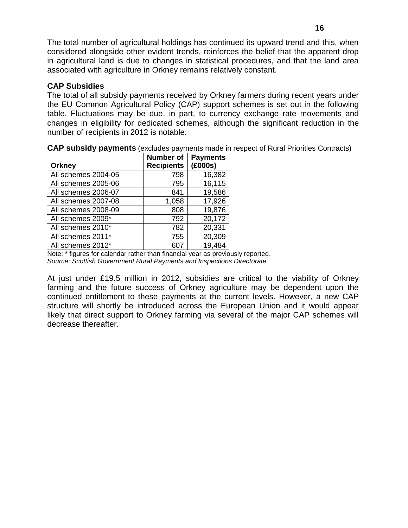The total number of agricultural holdings has continued its upward trend and this, when considered alongside other evident trends, reinforces the belief that the apparent drop in agricultural land is due to changes in statistical procedures, and that the land area associated with agriculture in Orkney remains relatively constant.

### **CAP Subsidies**

The total of all subsidy payments received by Orkney farmers during recent years under the EU Common Agricultural Policy (CAP) support schemes is set out in the following table. Fluctuations may be due, in part, to currency exchange rate movements and changes in eligibility for dedicated schemes, although the significant reduction in the number of recipients in 2012 is notable.

| <b>Orkney</b>       | <b>Number of</b><br><b>Recipients</b> | <b>Payments</b><br>(£000s) |
|---------------------|---------------------------------------|----------------------------|
| All schemes 2004-05 | 798                                   | 16,382                     |
| All schemes 2005-06 | 795                                   | 16,115                     |
| All schemes 2006-07 | 841                                   | 19,586                     |
| All schemes 2007-08 | 1,058                                 | 17,926                     |
| All schemes 2008-09 | 808                                   | 19,876                     |
| All schemes 2009*   | 792                                   | 20,172                     |
| All schemes 2010*   | 782                                   | 20,331                     |
| All schemes 2011*   | 755                                   | 20,309                     |
| All schemes 2012*   | 607                                   | 19,484                     |

**CAP subsidy payments** (excludes payments made in respect of Rural Priorities Contracts)

Note: \* figures for calendar rather than financial year as previously reported. *Source: Scottish Government Rural Payments and Inspections Directorate*

At just under £19.5 million in 2012, subsidies are critical to the viability of Orkney farming and the future success of Orkney agriculture may be dependent upon the continued entitlement to these payments at the current levels. However, a new CAP structure will shortly be introduced across the European Union and it would appear likely that direct support to Orkney farming via several of the major CAP schemes will decrease thereafter.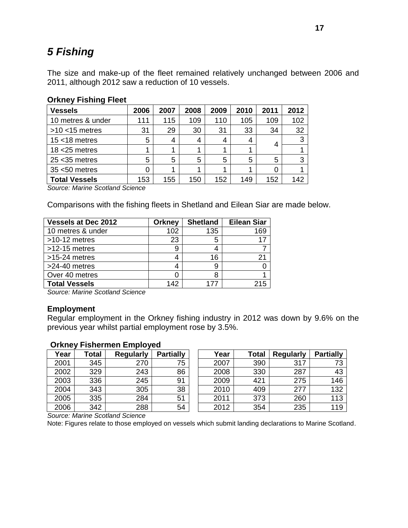# <span id="page-17-0"></span>*5 Fishing*

The size and make-up of the fleet remained relatively unchanged between 2006 and 2011, although 2012 saw a reduction of 10 vessels.

| <b>Vessels</b>       | 2006 | 2007 | 2008 | 2009 | 2010 | 2011 | 2012 |
|----------------------|------|------|------|------|------|------|------|
| 10 metres & under    | 111  | 115  | 109  | 110  | 105  | 109  | 102  |
| $>10$ <15 metres     | 31   | 29   | 30   | 31   | 33   | 34   | 32   |
| $15 < 18$ metres     | 5    | 4    | 4    | 4    | 4    |      | 3    |
| $18 < 25$ metres     |      | 4    |      |      |      |      |      |
| $25 < 35$ metres     | 5    | 5    | 5    | 5    | 5    | 5    | 3    |
| $35 < 50$ metres     | 0    | 1    |      |      |      |      |      |
| <b>Total Vessels</b> | 153  | 155  | 150  | 152  | 149  | 152  | 142  |

# **Orkney Fishing Fleet**

*Source: Marine Scotland Science*

Comparisons with the fishing fleets in Shetland and Eilean Siar are made below.

| <b>Vessels at Dec 2012</b> | <b>Orkney</b> | <b>Shetland</b> | <b>Eilean Siar</b> |
|----------------------------|---------------|-----------------|--------------------|
| 10 metres & under          | 102           | 135             | 169                |
| $>10-12$ metres            | 23            | 5               |                    |
| $>12-15$ metres            | 9             |                 |                    |
| $>15-24$ metres            | 4             | 16              | 21                 |
| $>24-40$ metres            | 4             | 9               |                    |
| Over 40 metres             |               | 8               |                    |
| <b>Total Vessels</b>       | 142           | 177             | 215                |

*Source: Marine Scotland Science*

#### **Employment**

Regular employment in the Orkney fishing industry in 2012 was down by 9.6% on the previous year whilst partial employment rose by 3.5%.

#### **Orkney Fishermen Employed**

| Year | Total | <b>Regularly</b> | <b>Partially</b> | Year | Total | <b>Regularly</b> | <b>Partially</b> |
|------|-------|------------------|------------------|------|-------|------------------|------------------|
| 2001 | 345   | 270              | 75               | 2007 | 390   | 317              |                  |
| 2002 | 329   | 243              | 86               | 2008 | 330   | 287              | 43               |
| 2003 | 336   | 245              | 91               | 2009 | 421   | 275              | 146              |
| 2004 | 343   | 305              | 38               | 2010 | 409   | 277              | 132              |
| 2005 | 335   | 284              | 51               | 2011 | 373   | 260              | 113              |
| 2006 | 342   | 288              | 54               | 2012 | 354   | 235              | 119              |

*Source: Marine Scotland Science*

Note: Figures relate to those employed on vessels which submit landing declarations to Marine Scotland.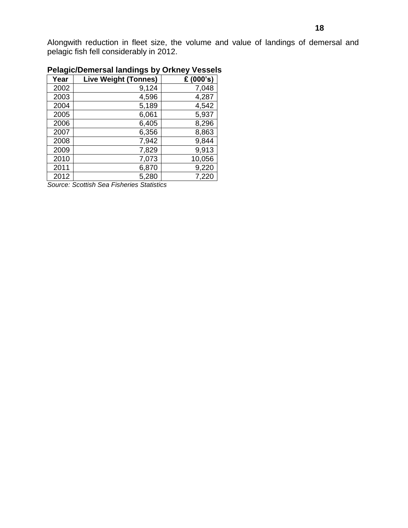Alongwith reduction in fleet size, the volume and value of landings of demersal and pelagic fish fell considerably in 2012.

| Year | <b>Live Weight (Tonnes)</b> | £ (000's) |
|------|-----------------------------|-----------|
| 2002 | 9,124                       | 7,048     |
| 2003 | 4,596                       | 4,287     |
| 2004 | 5,189                       | 4,542     |
| 2005 | 6,061                       | 5,937     |
| 2006 | 6,405                       | 8,296     |
| 2007 | 6,356                       | 8,863     |
| 2008 | 7,942                       | 9,844     |
| 2009 | 7,829                       | 9,913     |
| 2010 | 7,073                       | 10,056    |
| 2011 | 6,870                       | 9,220     |
| 2012 | 5,280                       | 7,220     |

# **Pelagic/Demersal landings by Orkney Vessels**

*Source: Scottish Sea Fisheries Statistics*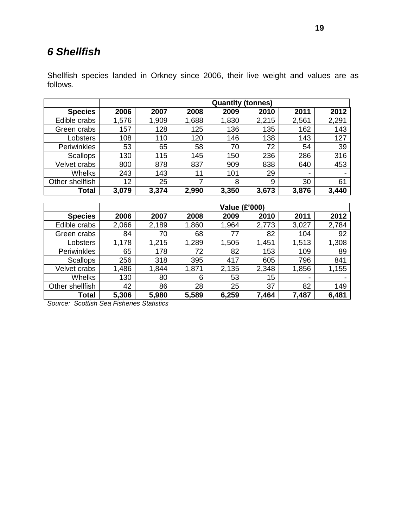# <span id="page-19-0"></span>*6 Shellfish*

Shellfish species landed in Orkney since 2006, their live weight and values are as follows.

|                    | <b>Quantity (tonnes)</b> |       |       |       |       |                          |       |  |  |  |
|--------------------|--------------------------|-------|-------|-------|-------|--------------------------|-------|--|--|--|
| <b>Species</b>     | 2006                     | 2007  | 2008  | 2009  | 2010  | 2011                     | 2012  |  |  |  |
| Edible crabs       | 1,576                    | 1,909 | 1,688 | 1,830 | 2,215 | 2,561                    | 2,291 |  |  |  |
| Green crabs        | 157                      | 128   | 125   | 136   | 135   | 162                      | 143   |  |  |  |
| Lobsters           | 108                      | 110   | 120   | 146   | 138   | 143                      | 127   |  |  |  |
| <b>Periwinkles</b> | 53                       | 65    | 58    | 70    | 72    | 54                       | 39    |  |  |  |
| <b>Scallops</b>    | 130                      | 115   | 145   | 150   | 236   | 286                      | 316   |  |  |  |
| Velvet crabs       | 800                      | 878   | 837   | 909   | 838   | 640                      | 453   |  |  |  |
| Whelks             | 243                      | 143   | 11    | 101   | 29    | $\overline{\phantom{0}}$ | -     |  |  |  |
| Other shellfish    | 12                       | 25    | 7     | 8     | 9     | 30                       | 61    |  |  |  |
| Total              | 3,079                    | 3,374 | 2,990 | 3,350 | 3,673 | 3,876                    | 3,440 |  |  |  |

|                 | <b>Value (£'000)</b> |       |       |       |       |       |       |
|-----------------|----------------------|-------|-------|-------|-------|-------|-------|
| <b>Species</b>  | 2006                 | 2007  | 2008  | 2009  | 2010  | 2011  | 2012  |
| Edible crabs    | 2,066                | 2,189 | 1,860 | 1,964 | 2,773 | 3,027 | 2,784 |
| Green crabs     | 84                   | 70    | 68    | 77    | 82    | 104   | 92    |
| Lobsters        | 1,178                | 1,215 | 1,289 | 1,505 | 1,451 | 1,513 | 1,308 |
| Periwinkles     | 65                   | 178   | 72    | 82    | 153   | 109   | 89    |
| <b>Scallops</b> | 256                  | 318   | 395   | 417   | 605   | 796   | 841   |
| Velvet crabs    | 1,486                | 1,844 | 1,871 | 2,135 | 2,348 | 1,856 | 1,155 |
| <b>Whelks</b>   | 130                  | 80    | 6     | 53    | 15    | ۰     | -     |
| Other shellfish | 42                   | 86    | 28    | 25    | 37    | 82    | 149   |
| Total           | 5,306                | 5,980 | 5,589 | 6,259 | 7,464 | 7,487 | 6,481 |

*Source: Scottish Sea Fisheries Statistics*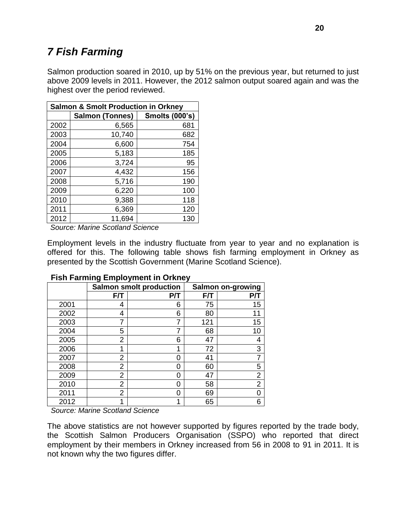# <span id="page-20-0"></span>*7 Fish Farming*

Salmon production soared in 2010, up by 51% on the previous year, but returned to just above 2009 levels in 2011. However, the 2012 salmon output soared again and was the highest over the period reviewed.

| <b>Salmon &amp; Smolt Production in Orkney</b> |                        |                       |  |  |  |
|------------------------------------------------|------------------------|-----------------------|--|--|--|
|                                                | <b>Salmon (Tonnes)</b> | <b>Smolts (000's)</b> |  |  |  |
| 2002                                           | 6,565                  | 681                   |  |  |  |
| 2003                                           | 10,740                 | 682                   |  |  |  |
| 2004                                           | 6,600                  | 754                   |  |  |  |
| 2005                                           | 5,183                  | 185                   |  |  |  |
| 2006                                           | 3,724                  | 95                    |  |  |  |
| 2007                                           | 4,432                  | 156                   |  |  |  |
| 2008                                           | 5,716                  | 190                   |  |  |  |
| 2009                                           | 6,220                  | 100                   |  |  |  |
| 2010                                           | 9,388                  | 118                   |  |  |  |
| 2011                                           | 6,369                  | 120                   |  |  |  |
| 2012                                           | 11,694                 | 130                   |  |  |  |

*Source: Marine Scotland Science*

Employment levels in the industry fluctuate from year to year and no explanation is offered for this. The following table shows fish farming employment in Orkney as presented by the Scottish Government (Marine Scotland Science).

|      |                | <b>Salmon smolt production</b> |     | <b>Salmon on-growing</b> |
|------|----------------|--------------------------------|-----|--------------------------|
|      | F/T            | P/T                            | F/T | P/T                      |
| 2001 | 4              | 6                              | 75  | 15                       |
| 2002 | 4              | 6                              | 80  | 11                       |
| 2003 | 7              |                                | 121 | 15                       |
| 2004 | 5              |                                | 68  | 10                       |
| 2005 | $\overline{2}$ | 6                              | 47  |                          |
| 2006 | 1              |                                | 72  | 3                        |
| 2007 | 2              | ი                              | 41  |                          |
| 2008 | 2              |                                | 60  | 5                        |
| 2009 | $\overline{2}$ | O                              | 47  | 2                        |
| 2010 | 2              | O                              | 58  | 2                        |
| 2011 | $\overline{2}$ | ი                              | 69  |                          |
| 2012 |                |                                | 65  | 6                        |

#### **Fish Farming Employment in Orkney**

*Source: Marine Scotland Science*

The above statistics are not however supported by figures reported by the trade body, the Scottish Salmon Producers Organisation (SSPO) who reported that direct employment by their members in Orkney increased from 56 in 2008 to 91 in 2011. It is not known why the two figures differ.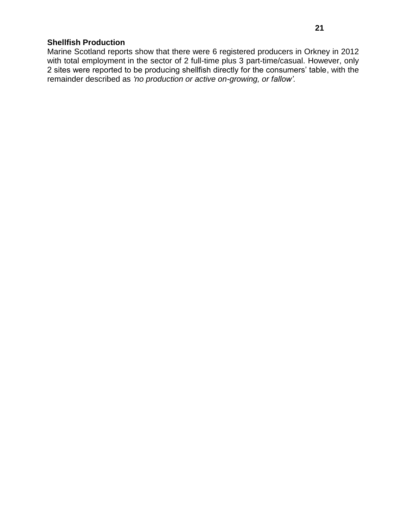# **Shellfish Production**

Marine Scotland reports show that there were 6 registered producers in Orkney in 2012 with total employment in the sector of 2 full-time plus 3 part-time/casual. However, only 2 sites were reported to be producing shellfish directly for the consumers' table, with the remainder described as *'no production or active on-growing, or fallow'.*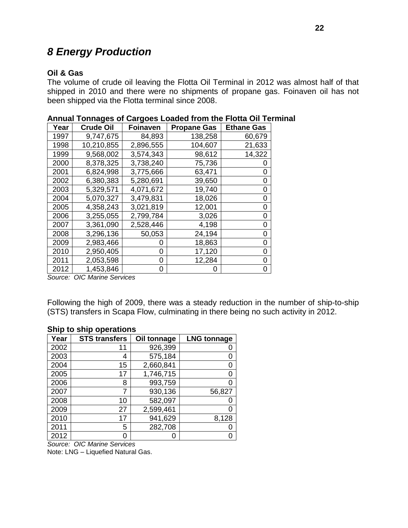# <span id="page-22-0"></span>*8 Energy Production*

### **Oil & Gas**

The volume of crude oil leaving the Flotta Oil Terminal in 2012 was almost half of that shipped in 2010 and there were no shipments of propane gas. Foinaven oil has not been shipped via the Flotta terminal since 2008.

| Year | <b>Crude Oil</b> | <b>Foinaven</b> | <b>Propane Gas</b> | <b>Ethane Gas</b> |
|------|------------------|-----------------|--------------------|-------------------|
| 1997 | 9,747,675        | 84,893          | 138,258            | 60,679            |
| 1998 | 10,210,855       | 2,896,555       | 104,607            | 21,633            |
| 1999 | 9,568,002        | 3,574,343       | 98,612             | 14,322            |
| 2000 | 8,378,325        | 3,738,240       | 75,736             |                   |
| 2001 | 6,824,998        | 3,775,666       | 63,471             | 0                 |
| 2002 | 6,380,383        | 5,280,691       | 39,650             | 0                 |
| 2003 | 5,329,571        | 4,071,672       | 19,740             | 0                 |
| 2004 | 5,070,327        | 3,479,831       | 18,026             | 0                 |
| 2005 | 4,358,243        | 3,021,819       | 12,001             | 0                 |
| 2006 | 3,255,055        | 2,799,784       | 3,026              | 0                 |
| 2007 | 3,361,090        | 2,528,446       | 4,198              | 0                 |
| 2008 | 3,296,136        | 50,053          | 24,194             | 0                 |
| 2009 | 2,983,466        | 0               | 18,863             | 0                 |
| 2010 | 2,950,405        | 0               | 17,120             | 0                 |
| 2011 | 2,053,598        | 0               | 12,284             | 0                 |
| 2012 | 1,453,846        | 0               | Ω                  |                   |

| Annual Tonnages of Cargoes Loaded from the Flotta Oil Terminal |  |  |  |
|----------------------------------------------------------------|--|--|--|
|----------------------------------------------------------------|--|--|--|

*Source: OIC Marine Services*

Following the high of 2009, there was a steady reduction in the number of ship-to-ship (STS) transfers in Scapa Flow, culminating in there being no such activity in 2012.

#### **Ship to ship operations**

| Year | <b>STS transfers</b> | Oil tonnage | <b>LNG tonnage</b> |
|------|----------------------|-------------|--------------------|
| 2002 | 11                   | 926,399     |                    |
| 2003 | 4                    | 575,184     |                    |
| 2004 | 15                   | 2,660,841   | 0                  |
| 2005 | 17                   | 1,746,715   | 0                  |
| 2006 | 8                    | 993,759     |                    |
| 2007 | 7                    | 930,136     | 56,827             |
| 2008 | 10                   | 582,097     |                    |
| 2009 | 27                   | 2,599,461   |                    |
| 2010 | 17                   | 941,629     | 8,128              |
| 2011 | 5                    | 282,708     |                    |
| 2012 | 0                    | 0           |                    |

*Source: OIC Marine Services*

Note: LNG – Liquefied Natural Gas.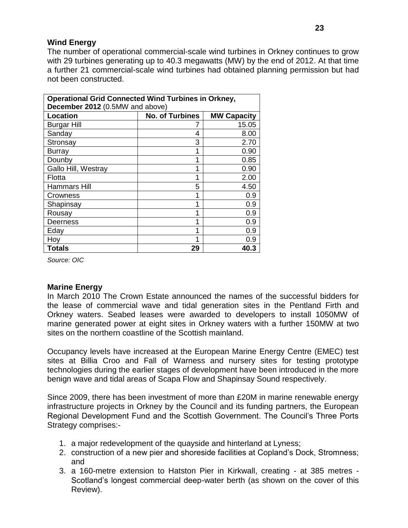### **Wind Energy**

The number of operational commercial-scale wind turbines in Orkney continues to grow with 29 turbines generating up to 40.3 megawatts (MW) by the end of 2012. At that time a further 21 commercial-scale wind turbines had obtained planning permission but had not been constructed.

| <b>Operational Grid Connected Wind Turbines in Orkney,</b><br>December 2012 (0.5MW and above) |                        |                    |  |  |
|-----------------------------------------------------------------------------------------------|------------------------|--------------------|--|--|
| <b>Location</b>                                                                               | <b>No. of Turbines</b> | <b>MW Capacity</b> |  |  |
| <b>Burgar Hill</b>                                                                            |                        | 15.05              |  |  |
| Sanday                                                                                        | 4                      | 8.00               |  |  |
| Stronsay                                                                                      | 3                      | 2.70               |  |  |
| <b>Burray</b>                                                                                 | 1                      | 0.90               |  |  |
| Dounby                                                                                        | 4                      | 0.85               |  |  |
| Gallo Hill, Westray                                                                           |                        | 0.90               |  |  |
| Flotta                                                                                        |                        | 2.00               |  |  |
| Hammars Hill                                                                                  | 5                      | 4.50               |  |  |
| Crowness                                                                                      | 1                      | 0.9                |  |  |
| Shapinsay                                                                                     | 1                      | 0.9                |  |  |
| Rousay                                                                                        | 1                      | 0.9                |  |  |
| Deerness                                                                                      | 1                      | 0.9                |  |  |
| Eday                                                                                          | 1                      | 0.9                |  |  |
| Hoy                                                                                           |                        | 0.9                |  |  |
| <b>Totals</b>                                                                                 | 29                     | 40.3               |  |  |

*Source: OIC*

### **Marine Energy**

In March 2010 The Crown Estate announced the names of the successful bidders for the lease of commercial wave and tidal generation sites in the Pentland Firth and Orkney waters. Seabed leases were awarded to developers to install 1050MW of marine generated power at eight sites in Orkney waters with a further 150MW at two sites on the northern coastline of the Scottish mainland.

Occupancy levels have increased at the European Marine Energy Centre (EMEC) test sites at Billia Croo and Fall of Warness and nursery sites for testing prototype technologies during the earlier stages of development have been introduced in the more benign wave and tidal areas of Scapa Flow and Shapinsay Sound respectively.

Since 2009, there has been investment of more than £20M in marine renewable energy infrastructure projects in Orkney by the Council and its funding partners, the European Regional Development Fund and the Scottish Government. The Council's Three Ports Strategy comprises:-

- 1. a major redevelopment of the quayside and hinterland at Lyness;
- 2. construction of a new pier and shoreside facilities at Copland's Dock, Stromness; and
- 3. a 160-metre extension to Hatston Pier in Kirkwall, creating at 385 metres Scotland's longest commercial deep-water berth (as shown on the cover of this Review).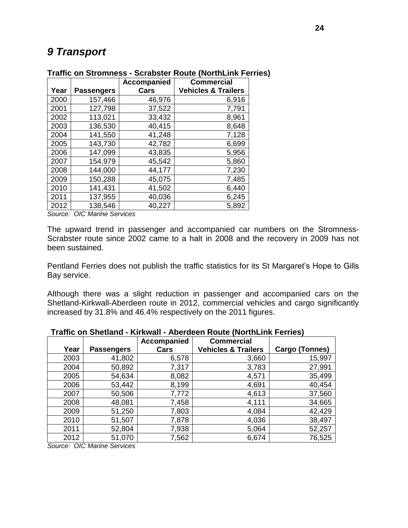# <span id="page-24-0"></span>*9 Transport*

|      |                   | <b>Accompanied</b> | <b>Commercial</b>              |
|------|-------------------|--------------------|--------------------------------|
| Year | <b>Passengers</b> | Cars               | <b>Vehicles &amp; Trailers</b> |
| 2000 | 157,466           | 46,976             | 6,916                          |
| 2001 | 127,798           | 37,522             | 7,791                          |
| 2002 | 113,021           | 33,432             | 8,961                          |
| 2003 | 136,530           | 40,415             | 8,648                          |
| 2004 | 141,550           | 41,248             | 7,128                          |
| 2005 | 143,730           | 42,782             | 6,699                          |
| 2006 | 147,099           | 43,835             | 5,956                          |
| 2007 | 154,979           | 45,542             | 5,860                          |
| 2008 | 144,000           | 44,177             | 7,230                          |
| 2009 | 150,288           | 45,075             | 7,485                          |
| 2010 | 141,431           | 41,502             | 6,440                          |
| 2011 | 137,955           | 40,036             | 6,245                          |
| 2012 | 138,546           | 40,227             | 5,892                          |

#### **Traffic on Stromness - Scrabster Route (NorthLink Ferries)**

*Source: OIC Marine Services*

The upward trend in passenger and accompanied car numbers on the Stromness-Scrabster route since 2002 came to a halt in 2008 and the recovery in 2009 has not been sustained.

Pentland Ferries does not publish the traffic statistics for its St Margaret's Hope to Gills Bay service.

Although there was a slight reduction in passenger and accompanied cars on the Shetland-Kirkwall-Aberdeen route in 2012, commercial vehicles and cargo significantly increased by 31.8% and 46.4% respectively on the 2011 figures.

#### **Year Passengers Accompanied Cars Commercial Vehicles & Trailers Cargo (Tonnes)** 2003 | 41,802 | 6,578 | 3,660 | 15,997 2004 | 50,892 | 7,317 | 3,783 | 27,991 2005 | 54,634 | 8,082 | 4,571 | 35,499 2006 | 53,442 | 8,199 | 4,691 | 40,454 2007 | 50,506 | 7,772 | 4,613 | 37,560 2008 48,081 7,458 4,111 34,665 2009 51,250 7,803 4,084 42,429 2010 | 51,507 | 7,878 | 4,036 | 38,497 2011 | 52,804 | 7,938 | 5,064 | 52,257 2012 | 51,070 | 7,562 | 6,674 | 76,525

#### **Traffic on Shetland - Kirkwall - Aberdeen Route (NorthLink Ferries)**

*Source: OIC Marine Services*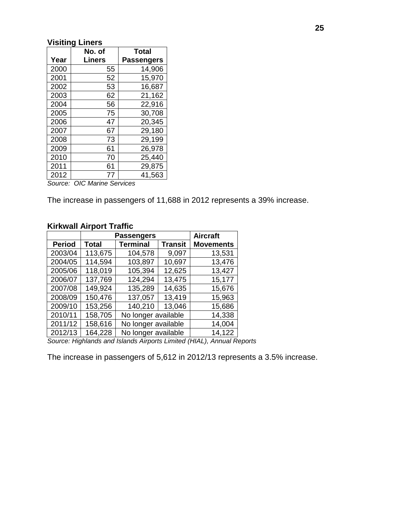# **Visiting Liners**

|      | No. of | <b>Total</b>      |
|------|--------|-------------------|
| Year | Liners | <b>Passengers</b> |
| 2000 | 55     | 14,906            |
| 2001 | 52     | 15,970            |
| 2002 | 53     | 16,687            |
| 2003 | 62     | 21,162            |
| 2004 | 56     | 22,916            |
| 2005 | 75     | 30,708            |
| 2006 | 47     | 20,345            |
| 2007 | 67     | 29,180            |
| 2008 | 73     | 29,199            |
| 2009 | 61     | 26,978            |
| 2010 | 70     | 25,440            |
| 2011 | 61     | 29,875            |
| 2012 | 77     | 41,563            |

*Source: OIC Marine Services*

The increase in passengers of 11,688 in 2012 represents a 39% increase.

# **Kirkwall Airport Traffic**

|               | <b>Passengers</b> |                                   | <b>Aircraft</b> |                  |
|---------------|-------------------|-----------------------------------|-----------------|------------------|
| <b>Period</b> | <b>Total</b>      | <b>Terminal</b><br><b>Transit</b> |                 | <b>Movements</b> |
| 2003/04       | 113,675           | 104,578                           | 9,097           | 13,531           |
| 2004/05       | 114,594           | 103,897                           | 10,697          | 13,476           |
| 2005/06       | 118,019           | 105,394                           | 12,625          | 13,427           |
| 2006/07       | 137,769           | 124,294                           | 13,475          | 15,177           |
| 2007/08       | 149,924           | 135,289                           | 14,635          | 15,676           |
| 2008/09       | 150,476           | 137,057                           | 13,419          | 15,963           |
| 2009/10       | 153,256           | 140,210                           | 13,046          | 15,686           |
| 2010/11       | 158,705           | No longer available               | 14,338          |                  |
| 2011/12       | 158,616           | No longer available               | 14,004          |                  |
| 2012/13       | 164,228           | No longer available               |                 | 14,122           |

*Source: Highlands and Islands Airports Limited (HIAL), Annual Reports*

The increase in passengers of 5,612 in 2012/13 represents a 3.5% increase.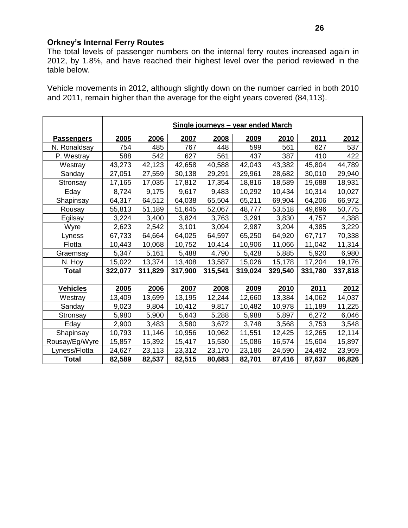# **Orkney's Internal Ferry Routes**

The total levels of passenger numbers on the internal ferry routes increased again in 2012, by 1.8%, and have reached their highest level over the period reviewed in the table below.

Vehicle movements in 2012, although slightly down on the number carried in both 2010 and 2011, remain higher than the average for the eight years covered (84,113).

|                   | Single journeys - year ended March |         |         |         |         |         |         |         |
|-------------------|------------------------------------|---------|---------|---------|---------|---------|---------|---------|
| <b>Passengers</b> | 2005                               | 2006    | 2007    | 2008    | 2009    | 2010    | 2011    | 2012    |
| N. Ronaldsay      | 754                                | 485     | 767     | 448     | 599     | 561     | 627     | 537     |
| P. Westray        | 588                                | 542     | 627     | 561     | 437     | 387     | 410     | 422     |
| Westray           | 43,273                             | 42,123  | 42,658  | 40,588  | 42,043  | 43,382  | 45,804  | 44,789  |
| Sanday            | 27,051                             | 27,559  | 30,138  | 29,291  | 29,961  | 28,682  | 30,010  | 29,940  |
| Stronsay          | 17,165                             | 17,035  | 17,812  | 17,354  | 18,816  | 18,589  | 19,688  | 18,931  |
| Eday              | 8,724                              | 9,175   | 9,617   | 9,483   | 10,292  | 10,434  | 10,314  | 10,027  |
| Shapinsay         | 64,317                             | 64,512  | 64,038  | 65,504  | 65,211  | 69,904  | 64,206  | 66,972  |
| Rousay            | 55,813                             | 51,189  | 51,645  | 52,067  | 48,777  | 53,518  | 49,696  | 50,775  |
| Egilsay           | 3,224                              | 3,400   | 3,824   | 3,763   | 3,291   | 3,830   | 4,757   | 4,388   |
| Wyre              | 2,623                              | 2,542   | 3,101   | 3,094   | 2,987   | 3,204   | 4,385   | 3,229   |
| Lyness            | 67,733                             | 64,664  | 64,025  | 64,597  | 65,250  | 64,920  | 67,717  | 70,338  |
| Flotta            | 10,443                             | 10,068  | 10,752  | 10,414  | 10,906  | 11,066  | 11,042  | 11,314  |
| Graemsay          | 5,347                              | 5,161   | 5,488   | 4,790   | 5,428   | 5,885   | 5,920   | 6,980   |
| N. Hoy            | 15,022                             | 13,374  | 13,408  | 13,587  | 15,026  | 15,178  | 17,204  | 19,176  |
| <b>Total</b>      | 322,077                            | 311,829 | 317,900 | 315,541 | 319,024 | 329,540 | 331,780 | 337,818 |
|                   |                                    |         |         |         |         |         |         |         |
| <b>Vehicles</b>   | 2005                               | 2006    | 2007    | 2008    | 2009    | 2010    | 2011    | 2012    |
| Westray           | 13,409                             | 13,699  | 13,195  | 12,244  | 12,660  | 13,384  | 14,062  | 14,037  |
| Sanday            | 9,023                              | 9,804   | 10,412  | 9,817   | 10,482  | 10,978  | 11,189  | 11,225  |
| Stronsay          | 5,980                              | 5,900   | 5,643   | 5,288   | 5,988   | 5,897   | 6,272   | 6,046   |
| Eday              | 2,900                              | 3,483   | 3,580   | 3,672   | 3,748   | 3,568   | 3,753   | 3,548   |
| Shapinsay         | 10,793                             | 11,146  | 10,956  | 10,962  | 11,551  | 12,425  | 12,265  | 12,114  |
| Rousay/Eg/Wyre    | 15,857                             | 15,392  | 15,417  | 15,530  | 15,086  | 16,574  | 15,604  | 15,897  |
| Lyness/Flotta     | 24,627                             | 23,113  | 23,312  | 23,170  | 23,186  | 24,590  | 24,492  | 23,959  |
| <b>Total</b>      | 82,589                             | 82,537  | 82,515  | 80,683  | 82,701  | 87,416  | 87,637  | 86,826  |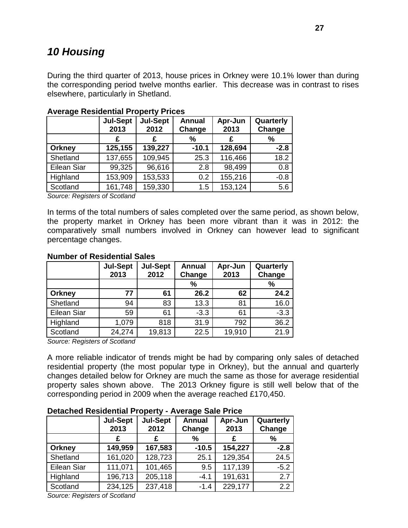# <span id="page-27-0"></span>*10 Housing*

During the third quarter of 2013, house prices in Orkney were 10.1% lower than during the corresponding period twelve months earlier. This decrease was in contrast to rises elsewhere, particularly in Shetland.

|               | <b>Jul-Sept</b><br>2013 | <b>Jul-Sept</b><br>2012 | <b>Annual</b><br>Change | Apr-Jun<br>2013 | Quarterly<br>Change |
|---------------|-------------------------|-------------------------|-------------------------|-----------------|---------------------|
|               | £                       | £                       | %                       | £               | %                   |
| <b>Orkney</b> | 125,155                 | 139,227                 | $-10.1$                 | 128,694         | $-2.8$              |
| Shetland      | 137,655                 | 109,945                 | 25.3                    | 116,466         | 18.2                |
| Eilean Siar   | 99,325                  | 96,616                  | 2.8                     | 98,499          | 0.8                 |
| Highland      | 153,909                 | 153,533                 | 0.2                     | 155,216         | $-0.8$              |
| Scotland      | 161,748                 | 159,330                 | 1.5                     | 153,124         | 5.6                 |

### **Average Residential Property Prices**

*Source: Registers of Scotland*

In terms of the total numbers of sales completed over the same period, as shown below, the property market in Orkney has been more vibrant than it was in 2012: the comparatively small numbers involved in Orkney can however lead to significant percentage changes.

#### **Number of Residential Sales**

|               | <b>Jul-Sept</b><br>2013 | <b>Jul-Sept</b><br>2012 | <b>Annual</b><br>Change | Apr-Jun<br>2013 | Quarterly<br>Change |
|---------------|-------------------------|-------------------------|-------------------------|-----------------|---------------------|
|               |                         |                         | %                       |                 | $\frac{9}{6}$       |
| <b>Orkney</b> | 77                      | 61                      | 26.2                    | 62              | 24.2                |
| Shetland      | 94                      | 83                      | 13.3                    | 81              | 16.0                |
| Eilean Siar   | 59                      | 61                      | $-3.3$                  | 61              | $-3.3$              |
| Highland      | 1,079                   | 818                     | 31.9                    | 792             | 36.2                |
| Scotland      | 24,274                  | 19,813                  | 22.5                    | 19,910          | 21.9                |

*Source: Registers of Scotland*

A more reliable indicator of trends might be had by comparing only sales of detached residential property (the most popular type in Orkney), but the annual and quarterly changes detailed below for Orkney are much the same as those for average residential property sales shown above. The 2013 Orkney figure is still well below that of the corresponding period in 2009 when the average reached £170,450.

#### **Detached Residential Property - Average Sale Price**

|                    | <b>Jul-Sept</b><br>2013 | <b>Jul-Sept</b><br>2012 | <b>Annual</b><br>Change | Apr-Jun<br>2013 | Quarterly<br>Change |
|--------------------|-------------------------|-------------------------|-------------------------|-----------------|---------------------|
|                    | £                       | £                       | ℅                       | £               | %                   |
| <b>Orkney</b>      | 149,959                 | 167,583                 | $-10.5$                 | 154,227         | $-2.8$              |
| Shetland           | 161,020                 | 128,723                 | 25.1                    | 129,354         | 24.5                |
| <b>Eilean Siar</b> | 111,071                 | 101,465                 | 9.5                     | 117,139         | $-5.2$              |
| Highland           | 196,713                 | 205,118                 | $-4.1$                  | 191,631         | 2.7                 |
| Scotland           | 234,125                 | 237,418                 | $-1.4$                  | 229,177         | 2.2                 |

*Source: Registers of Scotland*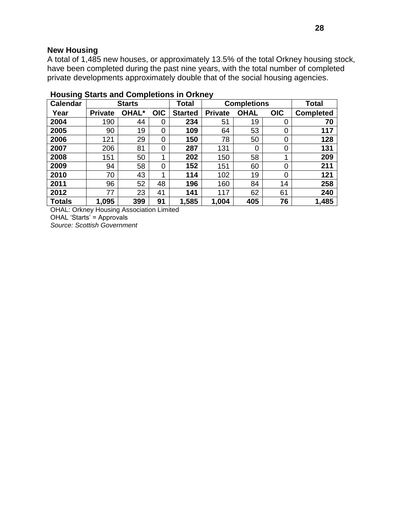#### **New Housing**

A total of 1,485 new houses, or approximately 13.5% of the total Orkney housing stock, have been completed during the past nine years, with the total number of completed private developments approximately double that of the social housing agencies.

| <b>Calendar</b> | <b>Starts</b>  |              |            | <b>Total</b>   | <b>Completions</b> |             |            | <b>Total</b>     |
|-----------------|----------------|--------------|------------|----------------|--------------------|-------------|------------|------------------|
| Year            | <b>Private</b> | <b>OHAL*</b> | <b>OIC</b> | <b>Started</b> | <b>Private</b>     | <b>OHAL</b> | <b>OIC</b> | <b>Completed</b> |
| 2004            | 190            | 44           | 0          | 234            | 51                 | 19          | 0          | 70               |
| 2005            | 90             | 19           | 0          | 109            | 64                 | 53          | 0          | 117              |
| 2006            | 121            | 29           | 0          | 150            | 78                 | 50          | 0          | 128              |
| 2007            | 206            | 81           | 0          | 287            | 131                | 0           | 0          | 131              |
| 2008            | 151            | 50           | 1          | 202            | 150                | 58          | 1          | 209              |
| 2009            | 94             | 58           | 0          | 152            | 151                | 60          | 0          | 211              |
| 2010            | 70             | 43           | 1          | 114            | 102                | 19          | 0          | 121              |
| 2011            | 96             | 52           | 48         | 196            | 160                | 84          | 14         | 258              |
| 2012            | 77             | 23           | 41         | 141            | 117                | 62          | 61         | 240              |
| <b>Totals</b>   | 1,095          | 399          | 91         | 1,585          | 1,004              | 405         | 76         | 1,485            |

# **Housing Starts and Completions in Orkney**

OHAL: Orkney Housing Association Limited OHAL 'Starts' = Approvals *Source: Scottish Government*